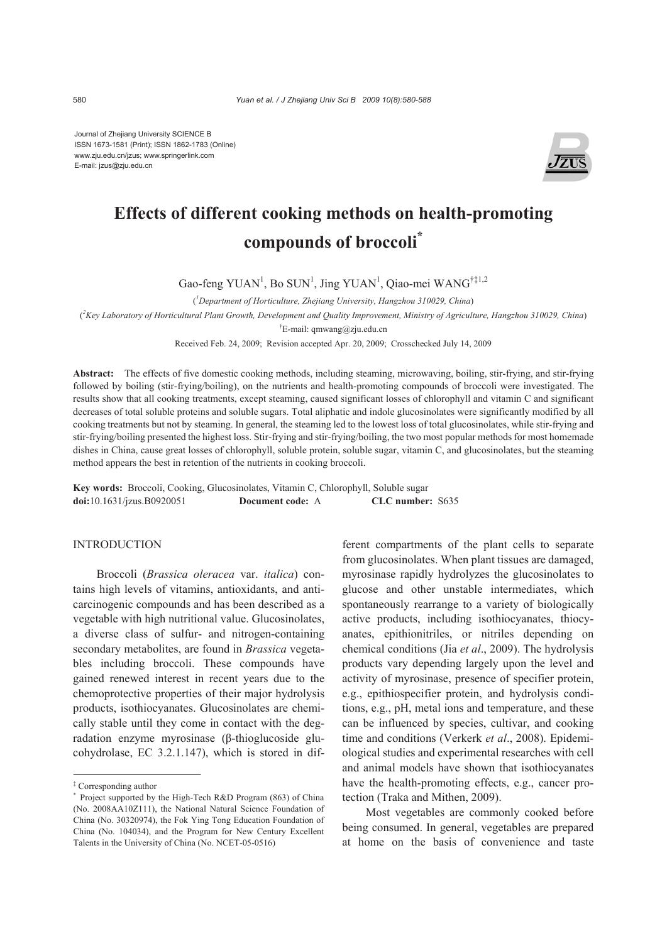Journal of Zhejiang University SCIENCE B ISSN 1673-1581 (Print); ISSN 1862-1783 (Online) www.zju.edu.cn/jzus; www.springerlink.com E-mail: jzus@zju.edu.cn



# **Effects of different cooking methods on health-promoting compounds of broccoli\***

Gao-feng YUAN<sup>1</sup>, Bo SUN<sup>1</sup>, Jing YUAN<sup>1</sup>, Qiao-mei WANG<sup>†‡1,2</sup>

( *1 Department of Horticulture, Zhejiang University, Hangzhou 310029, China*)

( *2 Key Laboratory of Horticultural Plant Growth, Development and Quality Improvement, Ministry of Agriculture, Hangzhou 310029, China*)

† E-mail: qmwang@zju.edu.cn

Received Feb. 24, 2009; Revision accepted Apr. 20, 2009; Crosschecked July 14, 2009

**Abstract:** The effects of five domestic cooking methods, including steaming, microwaving, boiling, stir-frying, and stir-frying followed by boiling (stir-frying/boiling), on the nutrients and health-promoting compounds of broccoli were investigated. The results show that all cooking treatments, except steaming, caused significant losses of chlorophyll and vitamin C and significant decreases of total soluble proteins and soluble sugars. Total aliphatic and indole glucosinolates were significantly modified by all cooking treatments but not by steaming. In general, the steaming led to the lowest loss of total glucosinolates, while stir-frying and stir-frying/boiling presented the highest loss. Stir-frying and stir-frying/boiling, the two most popular methods for most homemade dishes in China, cause great losses of chlorophyll, soluble protein, soluble sugar, vitamin C, and glucosinolates, but the steaming method appears the best in retention of the nutrients in cooking broccoli.

**Key words:** Broccoli, Cooking, Glucosinolates, Vitamin C, Chlorophyll, Soluble sugar **doi:**10.1631/jzus.B0920051 **Document code:** A **CLC number:** S635

# **INTRODUCTION**

Broccoli (*Brassica oleracea* var. *italica*) contains high levels of vitamins, antioxidants, and anticarcinogenic compounds and has been described as a vegetable with high nutritional value. Glucosinolates, a diverse class of sulfur- and nitrogen-containing secondary metabolites, are found in *Brassica* vegetables including broccoli. These compounds have gained renewed interest in recent years due to the chemoprotective properties of their major hydrolysis products, isothiocyanates. Glucosinolates are chemically stable until they come in contact with the degradation enzyme myrosinase (β-thioglucoside glucohydrolase, EC 3.2.1.147), which is stored in different compartments of the plant cells to separate from glucosinolates. When plant tissues are damaged, myrosinase rapidly hydrolyzes the glucosinolates to glucose and other unstable intermediates, which spontaneously rearrange to a variety of biologically active products, including isothiocyanates, thiocyanates, epithionitriles, or nitriles depending on chemical conditions (Jia *et al*., 2009). The hydrolysis products vary depending largely upon the level and activity of myrosinase, presence of specifier protein, e.g., epithiospecifier protein, and hydrolysis conditions, e.g., pH, metal ions and temperature, and these can be influenced by species, cultivar, and cooking time and conditions (Verkerk *et al*., 2008). Epidemiological studies and experimental researches with cell and animal models have shown that isothiocyanates have the health-promoting effects, e.g., cancer protection (Traka and Mithen, 2009).

Most vegetables are commonly cooked before being consumed. In general, vegetables are prepared at home on the basis of convenience and taste

<sup>‡</sup> Corresponding author

<sup>\*</sup> Project supported by the High-Tech R&D Program (863) of China (No. 2008AA10Z111), the National Natural Science Foundation of China (No. 30320974), the Fok Ying Tong Education Foundation of China (No. 104034), and the Program for New Century Excellent Talents in the University of China (No. NCET-05-0516)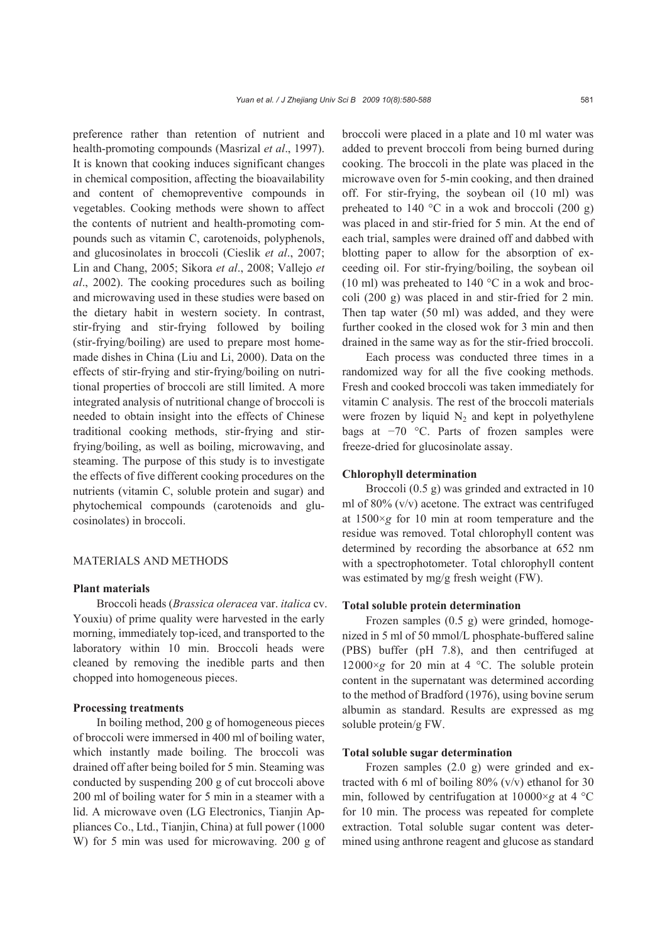preference rather than retention of nutrient and health-promoting compounds (Masrizal *et al*., 1997). It is known that cooking induces significant changes in chemical composition, affecting the bioavailability and content of chemopreventive compounds in vegetables. Cooking methods were shown to affect the contents of nutrient and health-promoting compounds such as vitamin C, carotenoids, polyphenols, and glucosinolates in broccoli (Cieslik *et al*., 2007; Lin and Chang, 2005; Sikora *et al*., 2008; Vallejo *et al*., 2002). The cooking procedures such as boiling and microwaving used in these studies were based on the dietary habit in western society. In contrast, stir-frying and stir-frying followed by boiling (stir-frying/boiling) are used to prepare most homemade dishes in China (Liu and Li, 2000). Data on the effects of stir-frying and stir-frying/boiling on nutritional properties of broccoli are still limited. A more integrated analysis of nutritional change of broccoli is needed to obtain insight into the effects of Chinese traditional cooking methods, stir-frying and stirfrying/boiling, as well as boiling, microwaving, and steaming. The purpose of this study is to investigate the effects of five different cooking procedures on the nutrients (vitamin C, soluble protein and sugar) and phytochemical compounds (carotenoids and glucosinolates) in broccoli.

# MATERIALS AND METHODS

#### **Plant materials**

Broccoli heads (*Brassica oleracea* var. *italica* cv. Youxiu) of prime quality were harvested in the early morning, immediately top-iced, and transported to the laboratory within 10 min. Broccoli heads were cleaned by removing the inedible parts and then chopped into homogeneous pieces.

#### **Processing treatments**

In boiling method, 200 g of homogeneous pieces of broccoli were immersed in 400 ml of boiling water, which instantly made boiling. The broccoli was drained off after being boiled for 5 min. Steaming was conducted by suspending 200 g of cut broccoli above 200 ml of boiling water for 5 min in a steamer with a lid. A microwave oven (LG Electronics, Tianjin Appliances Co., Ltd., Tianjin, China) at full power (1000 W) for 5 min was used for microwaving. 200 g of broccoli were placed in a plate and 10 ml water was added to prevent broccoli from being burned during cooking. The broccoli in the plate was placed in the microwave oven for 5-min cooking, and then drained off. For stir-frying, the soybean oil (10 ml) was preheated to 140  $^{\circ}$ C in a wok and broccoli (200 g) was placed in and stir-fried for 5 min. At the end of each trial, samples were drained off and dabbed with blotting paper to allow for the absorption of exceeding oil. For stir-frying/boiling, the soybean oil (10 ml) was preheated to 140  $^{\circ}$ C in a wok and broccoli (200 g) was placed in and stir-fried for 2 min. Then tap water (50 ml) was added, and they were further cooked in the closed wok for 3 min and then drained in the same way as for the stir-fried broccoli.

Each process was conducted three times in a randomized way for all the five cooking methods. Fresh and cooked broccoli was taken immediately for vitamin C analysis. The rest of the broccoli materials were frozen by liquid  $N_2$  and kept in polyethylene bags at −70 °C. Parts of frozen samples were freeze-dried for glucosinolate assay.

#### **Chlorophyll determination**

Broccoli (0.5 g) was grinded and extracted in 10 ml of 80% (v/v) acetone. The extract was centrifuged at 1500×*g* for 10 min at room temperature and the residue was removed. Total chlorophyll content was determined by recording the absorbance at 652 nm with a spectrophotometer. Total chlorophyll content was estimated by mg/g fresh weight (FW).

#### **Total soluble protein determination**

Frozen samples (0.5 g) were grinded, homogenized in 5 ml of 50 mmol/L phosphate-buffered saline (PBS) buffer (pH 7.8), and then centrifuged at 12000 $\times$ *g* for 20 min at 4 °C. The soluble protein content in the supernatant was determined according to the method of Bradford (1976), using bovine serum albumin as standard. Results are expressed as mg soluble protein/g FW.

## **Total soluble sugar determination**

Frozen samples (2.0 g) were grinded and extracted with 6 ml of boiling  $80\%$  (v/v) ethanol for 30 min, followed by centrifugation at 10000×*g* at 4 °C for 10 min. The process was repeated for complete extraction. Total soluble sugar content was determined using anthrone reagent and glucose as standard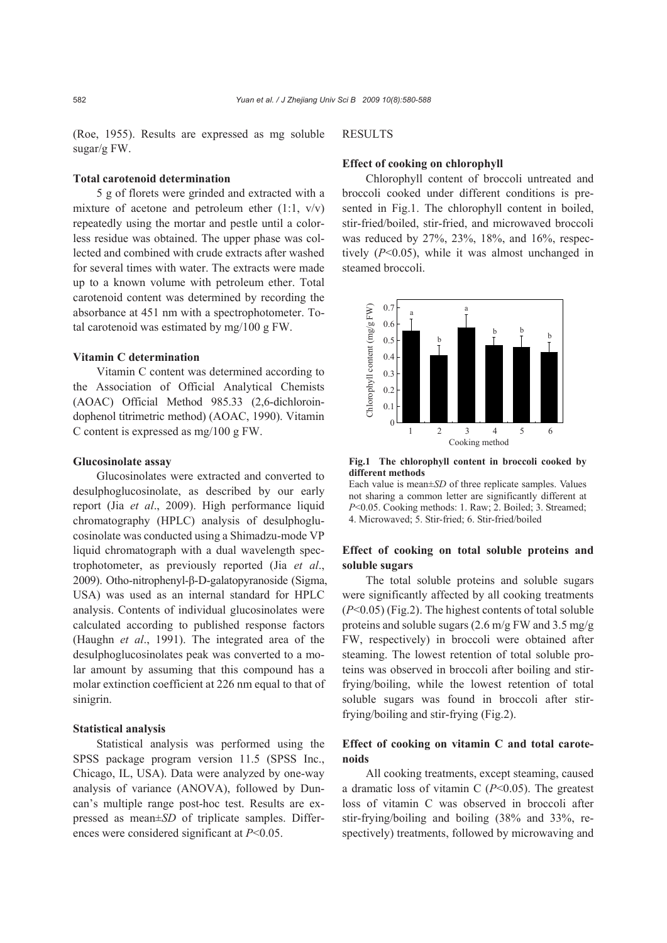(Roe, 1955). Results are expressed as mg soluble sugar/g FW.

#### **Total carotenoid determination**

5 g of florets were grinded and extracted with a mixture of acetone and petroleum ether  $(1:1, v/v)$ repeatedly using the mortar and pestle until a colorless residue was obtained. The upper phase was collected and combined with crude extracts after washed for several times with water. The extracts were made up to a known volume with petroleum ether. Total carotenoid content was determined by recording the absorbance at 451 nm with a spectrophotometer. Total carotenoid was estimated by mg/100 g FW.

#### **Vitamin C determination**

Vitamin C content was determined according to the Association of Official Analytical Chemists (AOAC) Official Method 985.33 (2,6-dichloroindophenol titrimetric method) (AOAC, 1990). Vitamin C content is expressed as mg/100 g FW.

#### **Glucosinolate assay**

Glucosinolates were extracted and converted to desulphoglucosinolate, as described by our early report (Jia *et al*., 2009). High performance liquid chromatography (HPLC) analysis of desulphoglucosinolate was conducted using a Shimadzu-mode VP liquid chromatograph with a dual wavelength spectrophotometer, as previously reported (Jia *et al*., 2009). Otho-nitrophenyl-β-D-galatopyranoside (Sigma, USA) was used as an internal standard for HPLC analysis. Contents of individual glucosinolates were calculated according to published response factors (Haughn *et al*., 1991). The integrated area of the desulphoglucosinolates peak was converted to a molar amount by assuming that this compound has a molar extinction coefficient at 226 nm equal to that of sinigrin.

## **Statistical analysis**

Statistical analysis was performed using the SPSS package program version 11.5 (SPSS Inc., Chicago, IL, USA). Data were analyzed by one-way analysis of variance (ANOVA), followed by Duncan's multiple range post-hoc test. Results are expressed as mean±*SD* of triplicate samples. Differences were considered significant at *P*<0.05.

## RESULTS

## **Effect of cooking on chlorophyll**

Chlorophyll content of broccoli untreated and broccoli cooked under different conditions is presented in Fig.1. The chlorophyll content in boiled, stir-fried/boiled, stir-fried, and microwaved broccoli was reduced by 27%, 23%, 18%, and 16%, respectively (*P*<0.05), while it was almost unchanged in steamed broccoli.



**Fig.1 The chlorophyll content in broccoli cooked by different methods** 

Each value is mean±*SD* of three replicate samples. Values not sharing a common letter are significantly different at *P*<0.05. Cooking methods: 1. Raw; 2. Boiled; 3. Streamed; 4. Microwaved; 5. Stir-fried; 6. Stir-fried/boiled

# **Effect of cooking on total soluble proteins and soluble sugars**

The total soluble proteins and soluble sugars were significantly affected by all cooking treatments (*P*<0.05) (Fig.2). The highest contents of total soluble proteins and soluble sugars  $(2.6 \text{ m/g FW}$  and  $3.5 \text{ mg/g}$ FW, respectively) in broccoli were obtained after steaming. The lowest retention of total soluble proteins was observed in broccoli after boiling and stirfrying/boiling, while the lowest retention of total soluble sugars was found in broccoli after stirfrying/boiling and stir-frying (Fig.2).

# **Effect of cooking on vitamin C and total carotenoids**

All cooking treatments, except steaming, caused a dramatic loss of vitamin C (*P*<0.05). The greatest loss of vitamin C was observed in broccoli after stir-frying/boiling and boiling (38% and 33%, respectively) treatments, followed by microwaving and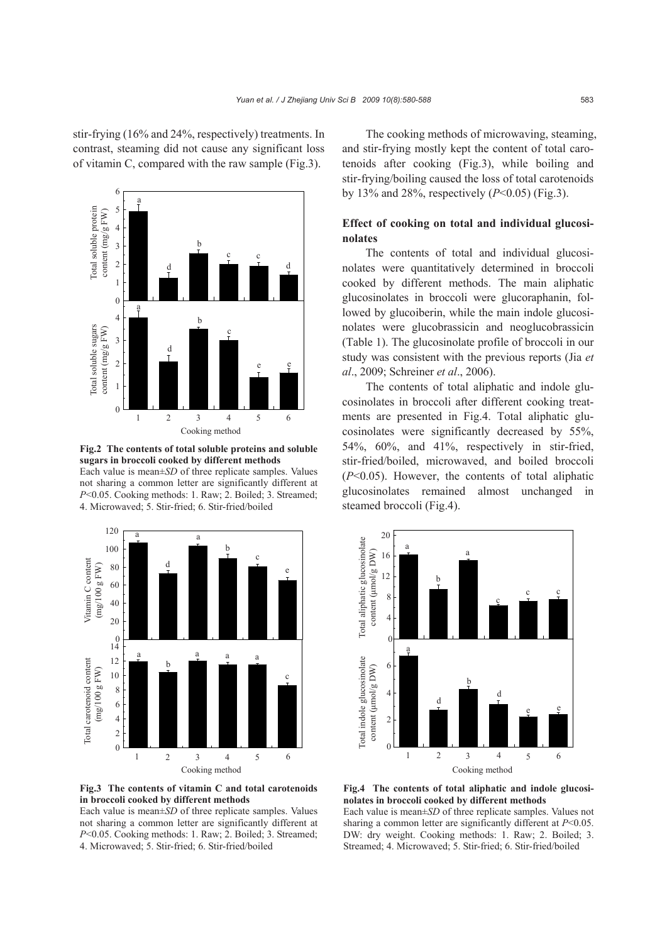stir-frying (16% and 24%, respectively) treatments. In contrast, steaming did not cause any significant loss of vitamin C, compared with the raw sample (Fig.3).



**Fig.2 The contents of total soluble proteins and soluble sugars in broccoli cooked by different methods**  Each value is mean±*SD* of three replicate samples. Values not sharing a common letter are significantly different at *P*<0.05. Cooking methods: 1. Raw; 2. Boiled; 3. Streamed; 4. Microwaved; 5. Stir-fried; 6. Stir-fried/boiled



**Fig.3 The contents of vitamin C and total carotenoids in broccoli cooked by different methods** 

Each value is mean±*SD* of three replicate samples. Values not sharing a common letter are significantly different at *P*<0.05. Cooking methods: 1. Raw; 2. Boiled; 3. Streamed; 4. Microwaved; 5. Stir-fried; 6. Stir-fried/boiled

The cooking methods of microwaving, steaming, and stir-frying mostly kept the content of total carotenoids after cooking (Fig.3), while boiling and stir-frying/boiling caused the loss of total carotenoids by 13% and 28%, respectively (*P*<0.05) (Fig.3).

# **Effect of cooking on total and individual glucosinolates**

The contents of total and individual glucosinolates were quantitatively determined in broccoli cooked by different methods. The main aliphatic glucosinolates in broccoli were glucoraphanin, followed by glucoiberin, while the main indole glucosinolates were glucobrassicin and neoglucobrassicin (Table 1). The glucosinolate profile of broccoli in our study was consistent with the previous reports (Jia *et al*., 2009; Schreiner *et al*., 2006).

The contents of total aliphatic and indole glucosinolates in broccoli after different cooking treatments are presented in Fig.4. Total aliphatic glucosinolates were significantly decreased by 55%, 54%, 60%, and 41%, respectively in stir-fried, stir-fried/boiled, microwaved, and boiled broccoli (*P*<0.05). However, the contents of total aliphatic glucosinolates remained almost unchanged in steamed broccoli (Fig.4).



**Fig.4 The contents of total aliphatic and indole glucosinolates in broccoli cooked by different methods**  Each value is mean±*SD* of three replicate samples. Values not sharing a common letter are significantly different at *P*<0.05. DW: dry weight. Cooking methods: 1. Raw; 2. Boiled; 3.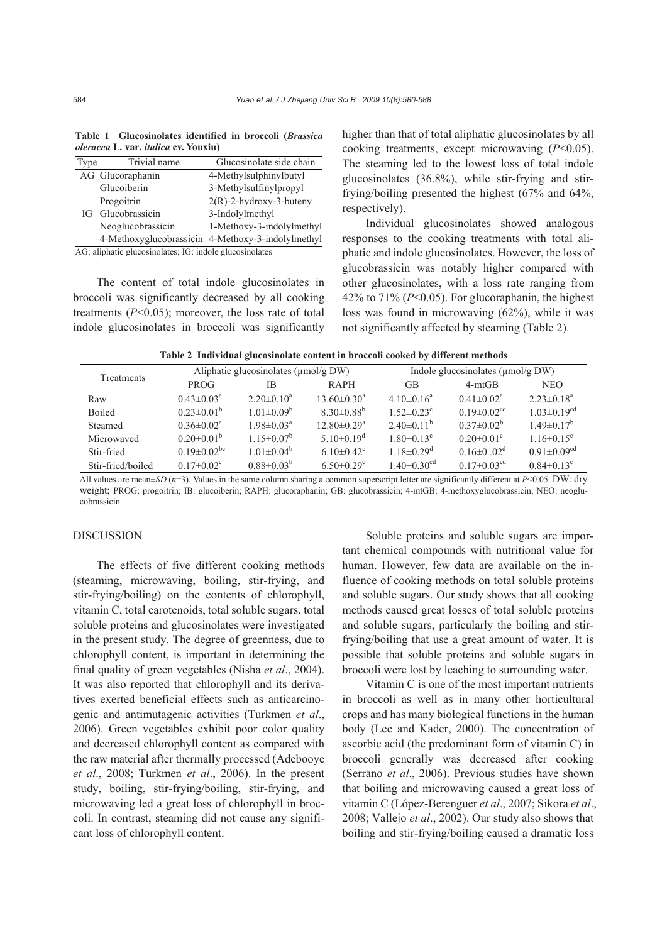| Type                                                     | Trivial name      | Glucosinolate side chain                          |  |  |  |  |  |
|----------------------------------------------------------|-------------------|---------------------------------------------------|--|--|--|--|--|
|                                                          | AG Glucoraphanin  | 4-Methylsulphinylbutyl                            |  |  |  |  |  |
|                                                          | Glucoiberin       | 3-Methylsulfinylpropyl                            |  |  |  |  |  |
| IG                                                       | Progoitrin        | $2(R)$ -2-hydroxy-3-buteny                        |  |  |  |  |  |
|                                                          | Glucobrassicin    | 3-Indolylmethyl                                   |  |  |  |  |  |
|                                                          | Neoglucobrassicin | 1-Methoxy-3-indolylmethyl                         |  |  |  |  |  |
|                                                          |                   | 4-Methoxyglucobrassicin 4-Methoxy-3-indolylmethyl |  |  |  |  |  |
| A.G. alinhatic glucosinolates: IG: indole glucosinolates |                   |                                                   |  |  |  |  |  |

**Table 1 Glucosinolates identified in broccoli (***Brassica oleracea* **L. var.** *italica* **cv. Youxiu)** 

AG: aliphatic glucosinolates; IG: indole glucosinolates

The content of total indole glucosinolates in broccoli was significantly decreased by all cooking treatments (*P*<0.05); moreover, the loss rate of total indole glucosinolates in broccoli was significantly higher than that of total aliphatic glucosinolates by all cooking treatments, except microwaving (*P*<0.05). The steaming led to the lowest loss of total indole glucosinolates (36.8%), while stir-frying and stirfrying/boiling presented the highest (67% and 64%, respectively).

Individual glucosinolates showed analogous responses to the cooking treatments with total aliphatic and indole glucosinolates. However, the loss of glucobrassicin was notably higher compared with other glucosinolates, with a loss rate ranging from 42% to 71% (*P*<0.05). For glucoraphanin, the highest loss was found in microwaving (62%), while it was not significantly affected by steaming (Table 2).

|  | Table 2 Individual glucosinolate content in broccoli cooked by different methods |  |  |  |
|--|----------------------------------------------------------------------------------|--|--|--|
|  |                                                                                  |  |  |  |

| Treatments        | Aliphatic glucosinolates (µmol/g DW) |                            |                               | Indole glucosinolates (µmol/g DW) |                               |                               |  |
|-------------------|--------------------------------------|----------------------------|-------------------------------|-----------------------------------|-------------------------------|-------------------------------|--|
|                   | <b>PROG</b>                          | ΙB                         | RAPH                          | GB                                | $4-mtGB$                      | <b>NEO</b>                    |  |
| Raw               | $0.43 \pm 0.03^a$                    | $2.20 \pm 0.10^a$          | $13.60 \pm 0.30^a$            | $4.10\pm0.16^a$                   | $0.41 \pm 0.02^a$             | $2.23 \pm 0.18^a$             |  |
| <b>Boiled</b>     | $0.23 \pm 0.01^b$                    | $1.01 \pm 0.09^b$          | $8.30 \pm 0.88^b$             | $1.52 \pm 0.23$ <sup>c</sup>      | $0.19 \pm 0.02$ <sup>cd</sup> | $1.03 \pm 0.19^{cd}$          |  |
| Steamed           | $0.36 \pm 0.02^a$                    | $1.98 \pm 0.03^{\text{a}}$ | $12.80 \pm 0.29$ <sup>a</sup> | $2.40\pm0.11^b$                   | $0.37 \pm 0.02^b$             | $1.49 \pm 0.17^b$             |  |
| Microwaved        | $0.20 \pm 0.01^b$                    | $1.15 \pm 0.07^b$          | $5.10\pm0.19^d$               | $1.80 \pm 0.13$ <sup>c</sup>      | $0.20 \pm 0.01$ <sup>c</sup>  | $1.16 \pm 0.15$ <sup>c</sup>  |  |
| Stir-fried        | $0.19 \pm 0.02$ <sup>bc</sup>        | $1.01 \pm 0.04^b$          | $6.10\pm0.42^c$               | $1.18 \pm 0.29$ <sup>d</sup>      | $0.16 \pm 0.02$ <sup>d</sup>  | $0.91 \pm 0.09$ <sup>cd</sup> |  |
| Stir-fried/boiled | $0.17 \pm 0.02$ <sup>c</sup>         | $0.88 \pm 0.03^b$          | $6.50 \pm 0.29$ <sup>c</sup>  | $1.40 \pm 0.30$ <sup>cd</sup>     | $0.17 \pm 0.03$ <sup>cd</sup> | $0.84 \pm 0.13$ <sup>c</sup>  |  |

All values are mean±*SD* (*n*=3). Values in the same column sharing a common superscript letter are significantly different at *P*<0.05. DW: dry weight; PROG: progoitrin; IB: glucoiberin; RAPH: glucoraphanin; GB: glucobrassicin; 4-mtGB: 4-methoxyglucobrassicin; NEO: neoglucobrassicin

#### DISCUSSION

The effects of five different cooking methods (steaming, microwaving, boiling, stir-frying, and stir-frying/boiling) on the contents of chlorophyll, vitamin C, total carotenoids, total soluble sugars, total soluble proteins and glucosinolates were investigated in the present study. The degree of greenness, due to chlorophyll content, is important in determining the final quality of green vegetables (Nisha *et al*., 2004). It was also reported that chlorophyll and its derivatives exerted beneficial effects such as anticarcinogenic and antimutagenic activities (Turkmen *et al*., 2006). Green vegetables exhibit poor color quality and decreased chlorophyll content as compared with the raw material after thermally processed (Adebooye *et al*., 2008; Turkmen *et al*., 2006). In the present study, boiling, stir-frying/boiling, stir-frying, and microwaving led a great loss of chlorophyll in broccoli. In contrast, steaming did not cause any significant loss of chlorophyll content.

Soluble proteins and soluble sugars are important chemical compounds with nutritional value for human. However, few data are available on the influence of cooking methods on total soluble proteins and soluble sugars. Our study shows that all cooking methods caused great losses of total soluble proteins and soluble sugars, particularly the boiling and stirfrying/boiling that use a great amount of water. It is possible that soluble proteins and soluble sugars in broccoli were lost by leaching to surrounding water.

Vitamin C is one of the most important nutrients in broccoli as well as in many other horticultural crops and has many biological functions in the human body (Lee and Kader, 2000). The concentration of ascorbic acid (the predominant form of vitamin C) in broccoli generally was decreased after cooking (Serrano *et al*., 2006). Previous studies have shown that boiling and microwaving caused a great loss of vitamin C (López-Berenguer *et al*., 2007; Sikora *et al*., 2008; Vallejo *et al*., 2002). Our study also shows that boiling and stir-frying/boiling caused a dramatic loss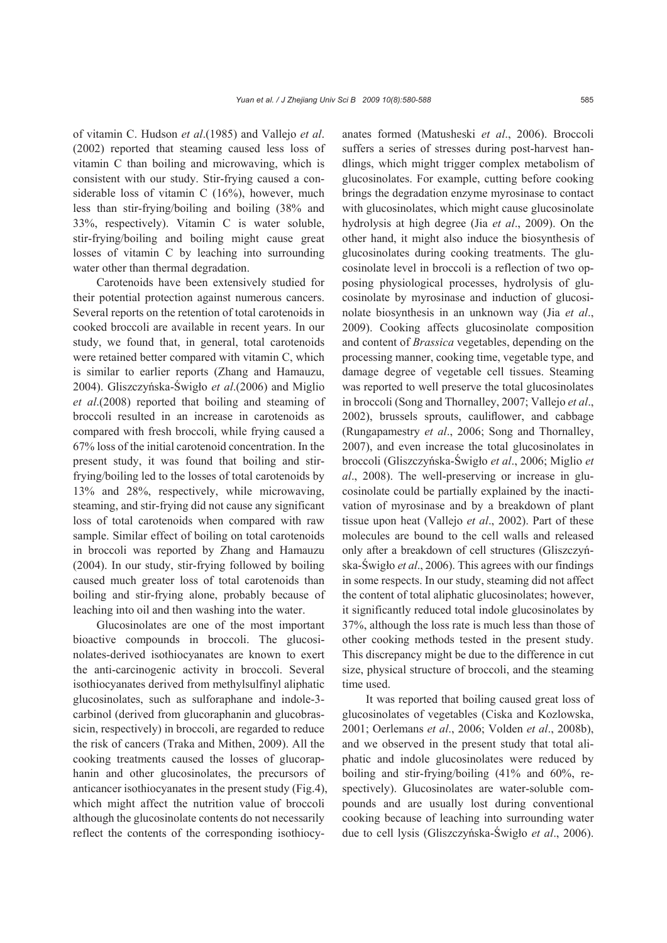of vitamin C. Hudson *et al*.(1985) and Vallejo *et al*. (2002) reported that steaming caused less loss of vitamin C than boiling and microwaving, which is consistent with our study. Stir-frying caused a considerable loss of vitamin C (16%), however, much less than stir-frying/boiling and boiling (38% and 33%, respectively). Vitamin C is water soluble, stir-frying/boiling and boiling might cause great losses of vitamin C by leaching into surrounding water other than thermal degradation.

Carotenoids have been extensively studied for their potential protection against numerous cancers. Several reports on the retention of total carotenoids in cooked broccoli are available in recent years. In our study, we found that, in general, total carotenoids were retained better compared with vitamin C, which is similar to earlier reports (Zhang and Hamauzu, 2004). Gliszczyńska-Świgło *et al*.(2006) and Miglio *et al*.(2008) reported that boiling and steaming of broccoli resulted in an increase in carotenoids as compared with fresh broccoli, while frying caused a 67% loss of the initial carotenoid concentration. In the present study, it was found that boiling and stirfrying/boiling led to the losses of total carotenoids by 13% and 28%, respectively, while microwaving, steaming, and stir-frying did not cause any significant loss of total carotenoids when compared with raw sample. Similar effect of boiling on total carotenoids in broccoli was reported by Zhang and Hamauzu (2004). In our study, stir-frying followed by boiling caused much greater loss of total carotenoids than boiling and stir-frying alone, probably because of leaching into oil and then washing into the water.

Glucosinolates are one of the most important bioactive compounds in broccoli. The glucosinolates-derived isothiocyanates are known to exert the anti-carcinogenic activity in broccoli. Several isothiocyanates derived from methylsulfinyl aliphatic glucosinolates, such as sulforaphane and indole-3 carbinol (derived from glucoraphanin and glucobrassicin, respectively) in broccoli, are regarded to reduce the risk of cancers (Traka and Mithen, 2009). All the cooking treatments caused the losses of glucoraphanin and other glucosinolates, the precursors of anticancer isothiocyanates in the present study (Fig.4), which might affect the nutrition value of broccoli although the glucosinolate contents do not necessarily reflect the contents of the corresponding isothiocyanates formed (Matusheski *et al*., 2006). Broccoli suffers a series of stresses during post-harvest handlings, which might trigger complex metabolism of glucosinolates. For example, cutting before cooking brings the degradation enzyme myrosinase to contact with glucosinolates, which might cause glucosinolate hydrolysis at high degree (Jia *et al*., 2009). On the other hand, it might also induce the biosynthesis of glucosinolates during cooking treatments. The glucosinolate level in broccoli is a reflection of two opposing physiological processes, hydrolysis of glucosinolate by myrosinase and induction of glucosinolate biosynthesis in an unknown way (Jia *et al*., 2009). Cooking affects glucosinolate composition and content of *Brassica* vegetables, depending on the processing manner, cooking time, vegetable type, and damage degree of vegetable cell tissues. Steaming was reported to well preserve the total glucosinolates in broccoli (Song and Thornalley, 2007; Vallejo *et al*., 2002), brussels sprouts, cauliflower, and cabbage (Rungapamestry *et al*., 2006; Song and Thornalley, 2007), and even increase the total glucosinolates in broccoli (Gliszczyńska-Świgło *et al*., 2006; Miglio *et al*., 2008). The well-preserving or increase in glucosinolate could be partially explained by the inactivation of myrosinase and by a breakdown of plant tissue upon heat (Vallejo *et al*., 2002). Part of these molecules are bound to the cell walls and released only after a breakdown of cell structures (Gliszczyńska-Świgło *et al*., 2006). This agrees with our findings in some respects. In our study, steaming did not affect the content of total aliphatic glucosinolates; however, it significantly reduced total indole glucosinolates by 37%, although the loss rate is much less than those of other cooking methods tested in the present study. This discrepancy might be due to the difference in cut size, physical structure of broccoli, and the steaming time used.

It was reported that boiling caused great loss of glucosinolates of vegetables (Ciska and Kozlowska, 2001; Oerlemans *et al*., 2006; Volden *et al*., 2008b), and we observed in the present study that total aliphatic and indole glucosinolates were reduced by boiling and stir-frying/boiling (41% and 60%, respectively). Glucosinolates are water-soluble compounds and are usually lost during conventional cooking because of leaching into surrounding water due to cell lysis (Gliszczyńska-Świgło *et al*., 2006).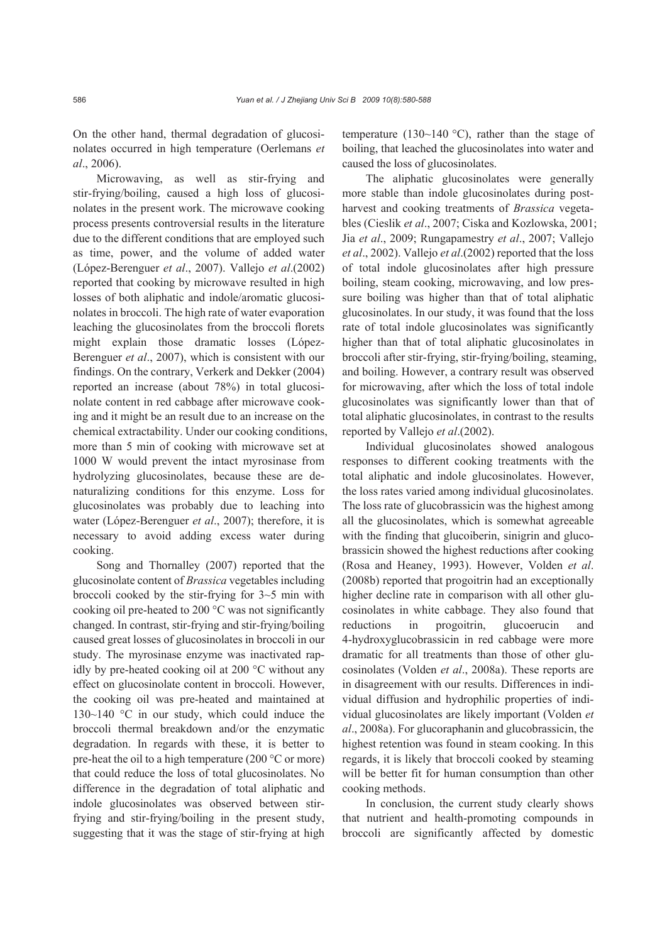On the other hand, thermal degradation of glucosinolates occurred in high temperature (Oerlemans *et al*., 2006).

Microwaving, as well as stir-frying and stir-frying/boiling, caused a high loss of glucosinolates in the present work. The microwave cooking process presents controversial results in the literature due to the different conditions that are employed such as time, power, and the volume of added water (López-Berenguer *et al*., 2007). Vallejo *et al*.(2002) reported that cooking by microwave resulted in high losses of both aliphatic and indole/aromatic glucosinolates in broccoli. The high rate of water evaporation leaching the glucosinolates from the broccoli florets might explain those dramatic losses (López-Berenguer *et al*., 2007), which is consistent with our findings. On the contrary, Verkerk and Dekker (2004) reported an increase (about 78%) in total glucosinolate content in red cabbage after microwave cooking and it might be an result due to an increase on the chemical extractability. Under our cooking conditions, more than 5 min of cooking with microwave set at 1000 W would prevent the intact myrosinase from hydrolyzing glucosinolates, because these are denaturalizing conditions for this enzyme. Loss for glucosinolates was probably due to leaching into water (López-Berenguer *et al*., 2007); therefore, it is necessary to avoid adding excess water during cooking.

Song and Thornalley (2007) reported that the glucosinolate content of *Brassica* vegetables including broccoli cooked by the stir-frying for 3~5 min with cooking oil pre-heated to 200 °C was not significantly changed. In contrast, stir-frying and stir-frying/boiling caused great losses of glucosinolates in broccoli in our study. The myrosinase enzyme was inactivated rapidly by pre-heated cooking oil at 200 °C without any effect on glucosinolate content in broccoli. However, the cooking oil was pre-heated and maintained at 130~140 °C in our study, which could induce the broccoli thermal breakdown and/or the enzymatic degradation. In regards with these, it is better to pre-heat the oil to a high temperature (200 °C or more) that could reduce the loss of total glucosinolates. No difference in the degradation of total aliphatic and indole glucosinolates was observed between stirfrying and stir-frying/boiling in the present study, suggesting that it was the stage of stir-frying at high temperature (130~140  $^{\circ}$ C), rather than the stage of boiling, that leached the glucosinolates into water and caused the loss of glucosinolates.

The aliphatic glucosinolates were generally more stable than indole glucosinolates during postharvest and cooking treatments of *Brassica* vegetables (Cieslik *et al*., 2007; Ciska and Kozlowska, 2001; Jia *et al*., 2009; Rungapamestry *et al*., 2007; Vallejo *et al*., 2002). Vallejo *et al*.(2002) reported that the loss of total indole glucosinolates after high pressure boiling, steam cooking, microwaving, and low pressure boiling was higher than that of total aliphatic glucosinolates. In our study, it was found that the loss rate of total indole glucosinolates was significantly higher than that of total aliphatic glucosinolates in broccoli after stir-frying, stir-frying/boiling, steaming, and boiling. However, a contrary result was observed for microwaving, after which the loss of total indole glucosinolates was significantly lower than that of total aliphatic glucosinolates, in contrast to the results reported by Vallejo *et al*.(2002).

Individual glucosinolates showed analogous responses to different cooking treatments with the total aliphatic and indole glucosinolates. However, the loss rates varied among individual glucosinolates. The loss rate of glucobrassicin was the highest among all the glucosinolates, which is somewhat agreeable with the finding that glucoiberin, sinigrin and glucobrassicin showed the highest reductions after cooking (Rosa and Heaney, 1993). However, Volden *et al*. (2008b) reported that progoitrin had an exceptionally higher decline rate in comparison with all other glucosinolates in white cabbage. They also found that reductions in progoitrin, glucoerucin and 4-hydroxyglucobrassicin in red cabbage were more dramatic for all treatments than those of other glucosinolates (Volden *et al*., 2008a). These reports are in disagreement with our results. Differences in individual diffusion and hydrophilic properties of individual glucosinolates are likely important (Volden *et al*., 2008a). For glucoraphanin and glucobrassicin, the highest retention was found in steam cooking. In this regards, it is likely that broccoli cooked by steaming will be better fit for human consumption than other cooking methods.

In conclusion, the current study clearly shows that nutrient and health-promoting compounds in broccoli are significantly affected by domestic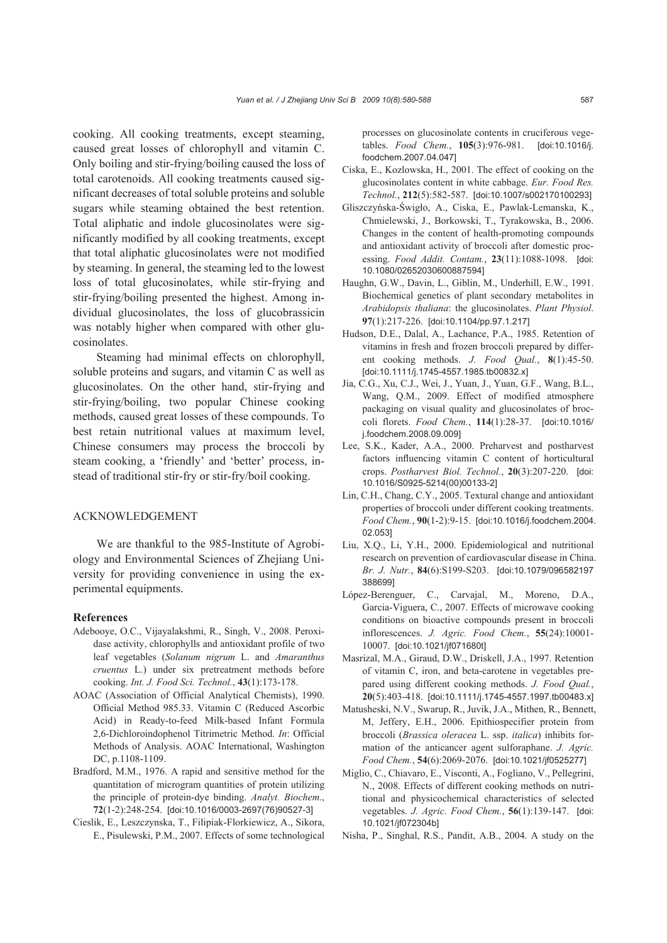cooking. All cooking treatments, except steaming, caused great losses of chlorophyll and vitamin C. Only boiling and stir-frying/boiling caused the loss of total carotenoids. All cooking treatments caused significant decreases of total soluble proteins and soluble sugars while steaming obtained the best retention. Total aliphatic and indole glucosinolates were significantly modified by all cooking treatments, except that total aliphatic glucosinolates were not modified by steaming. In general, the steaming led to the lowest loss of total glucosinolates, while stir-frying and stir-frying/boiling presented the highest. Among individual glucosinolates, the loss of glucobrassicin was notably higher when compared with other glucosinolates.

Steaming had minimal effects on chlorophyll, soluble proteins and sugars, and vitamin C as well as glucosinolates. On the other hand, stir-frying and stir-frying/boiling, two popular Chinese cooking methods, caused great losses of these compounds. To best retain nutritional values at maximum level, Chinese consumers may process the broccoli by steam cooking, a 'friendly' and 'better' process, instead of traditional stir-fry or stir-fry/boil cooking.

### ACKNOWLEDGEMENT

We are thankful to the 985-Institute of Agrobiology and Environmental Sciences of Zhejiang University for providing convenience in using the experimental equipments.

#### **References**

- Adebooye, O.C., Vijayalakshmi, R., Singh, V., 2008. Peroxidase activity, chlorophylls and antioxidant profile of two leaf vegetables (*Solanum nigrum* L. and *Amaranthus cruentus* L.) under six pretreatment methods before cooking. *Int. J. Food Sci. Technol.*, **43**(1):173-178.
- AOAC (Association of Official Analytical Chemists), 1990. Official Method 985.33. Vitamin C (Reduced Ascorbic Acid) in Ready-to-feed Milk-based Infant Formula 2,6-Dichloroindophenol Titrimetric Method. *In*: Official Methods of Analysis. AOAC International, Washington DC, p.1108-1109.
- Bradford, M.M., 1976. A rapid and sensitive method for the quantitation of microgram quantities of protein utilizing the principle of protein-dye binding. *Analyt. Biochem*., **72**(1-2):248-254. [doi:10.1016/0003-2697(76)90527-3]
- Cieslik, E., Leszczynska, T., Filipiak-Florkiewicz, A., Sikora, E., Pisulewski, P.M., 2007. Effects of some technological

processes on glucosinolate contents in cruciferous vegetables. *Food Chem.*, **105**(3):976-981. [doi:10.1016/j. foodchem.2007.04.047]

- Ciska, E., Kozlowska, H., 2001. The effect of cooking on the glucosinolates content in white cabbage. *Eur. Food Res. Technol.*, **212**(5):582-587. [doi:10.1007/s002170100293]
- Gliszczyńska-Świgło, A., Ciska, E., Pawlak-Lemanska, K., Chmielewski, J., Borkowski, T., Tyrakowska, B., 2006. Changes in the content of health-promoting compounds and antioxidant activity of broccoli after domestic processing. *Food Addit. Contam.*, **23**(11):1088-1098. [doi: 10.1080/02652030600887594]
- Haughn, G.W., Davin, L., Giblin, M., Underhill, E.W., 1991. Biochemical genetics of plant secondary metabolites in *Arabidopsis thaliana*: the glucosinolates. *Plant Physiol*. **97**(1):217-226. [doi:10.1104/pp.97.1.217]
- Hudson, D.E., Dalal, A., Lachance, P.A., 1985. Retention of vitamins in fresh and frozen broccoli prepared by different cooking methods. *J. Food Qual.*, **8**(1):45-50. [doi:10.1111/j.1745-4557.1985.tb00832.x]
- Jia, C.G., Xu, C.J., Wei, J., Yuan, J., Yuan, G.F., Wang, B.L., Wang, Q.M., 2009. Effect of modified atmosphere packaging on visual quality and glucosinolates of broccoli florets. *Food Chem.*, **114**(1):28-37. [doi:10.1016/ j.foodchem.2008.09.009]
- Lee, S.K., Kader, A.A., 2000. Preharvest and postharvest factors influencing vitamin C content of horticultural crops. *Postharvest Biol. Technol.*, **20**(3):207-220. [doi: 10.1016/S0925-5214(00)00133-2]
- Lin, C.H., Chang, C.Y., 2005. Textural change and antioxidant properties of broccoli under different cooking treatments. *Food Chem.*, **90**(1-2):9-15. [doi:10.1016/j.foodchem.2004. 02.053]
- Liu, X.Q., Li, Y.H., 2000. Epidemiological and nutritional research on prevention of cardiovascular disease in China. *Br. J. Nutr.*, **84**(6):S199-S203. [doi:10.1079/096582197 388699]
- López-Berenguer, C., Carvajal, M., Moreno, D.A., Garcia-Viguera, C., 2007. Effects of microwave cooking conditions on bioactive compounds present in broccoli inflorescences. *J. Agric. Food Chem.*, **55**(24):10001- 10007. [doi:10.1021/jf071680t]
- Masrizal, M.A., Giraud, D.W., Driskell, J.A., 1997. Retention of vitamin C, iron, and beta-carotene in vegetables prepared using different cooking methods. *J. Food Qual.*, **20**(5):403-418. [doi:10.1111/j.1745-4557.1997.tb00483.x]
- Matusheski, N.V., Swarup, R., Juvik, J.A., Mithen, R., Bennett, M, Jeffery, E.H., 2006. Epithiospecifier protein from broccoli (*Brassica oleracea* L. ssp. *italica*) inhibits formation of the anticancer agent sulforaphane. *J. Agric. Food Chem.*, **54**(6):2069-2076. [doi:10.1021/jf0525277]
- Miglio, C., Chiavaro, E., Visconti, A., Fogliano, V., Pellegrini, N., 2008. Effects of different cooking methods on nutritional and physicochemical characteristics of selected vegetables. *J. Agric. Food Chem.*, **56**(1):139-147. [doi: 10.1021/jf072304b]
- Nisha, P., Singhal, R.S., Pandit, A.B., 2004. A study on the